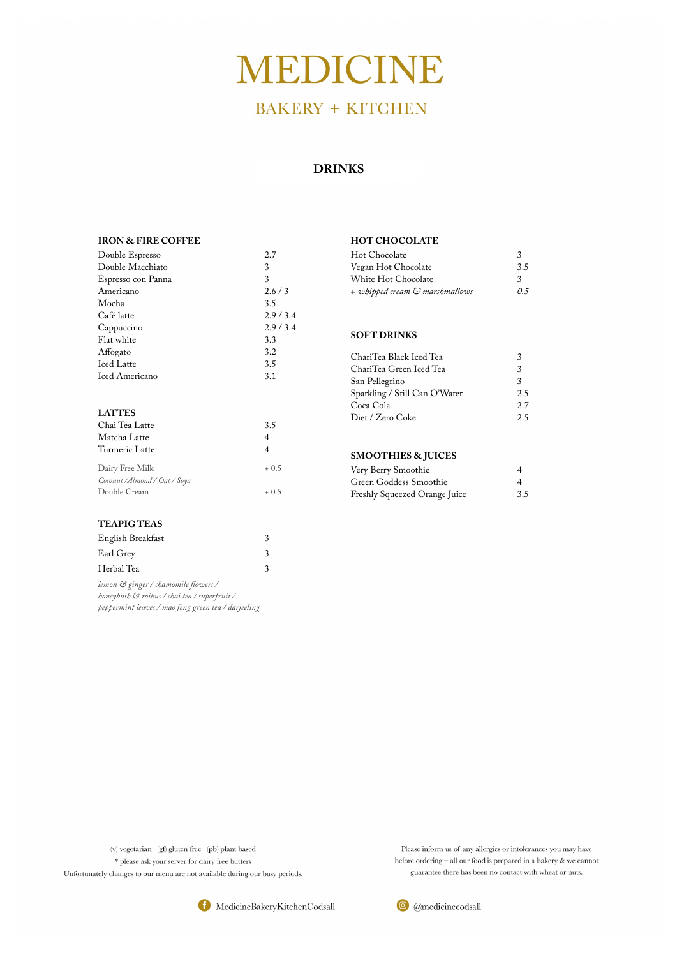# **MEDICINE**

## **BAKERY + KITCHEN**

#### **DRINKS**

#### **IRON & FIRE COFFEE**

| Double Espresso               | 2.7            |
|-------------------------------|----------------|
| Double Macchiato              | 3              |
| Espresso con Panna            | 3              |
| Americano                     | 2.6/3          |
| Mocha                         | 3.5            |
| Café latte                    | 2.9/3.4        |
| Cappuccino                    | 2.9/3.4        |
| Flat white                    | 3.3            |
| Affogato                      | 3.2            |
| <b>Iced Latte</b>             | 3.5            |
| <b>Iced Americano</b>         | 3.1            |
|                               |                |
| <b>LATTES</b>                 |                |
| Chai Tea Latte                | 3.5            |
| Matcha Latte                  | $\overline{4}$ |
| Turmeric Latte                | 4              |
| Dairy Free Milk               | $+0.5$         |
| Coconut / Almond / Oat / Soya |                |
| Double Cream                  | $+0.5$         |
|                               |                |
| <b>TEAPIG TEAS</b>            |                |

| English Breakfast                                                                    | 3 |
|--------------------------------------------------------------------------------------|---|
| Earl Grey                                                                            | 3 |
| Herbal Tea                                                                           | 3 |
| lemon & ginger / chamomile flowers /<br>honeybush & roibus / chai tea / superfruit / |   |

*peppermint leaves / mao feng green tea / darjeeling* 

#### **HOT CHOCOLATE**

| Hot Chocolate                  | 3   |
|--------------------------------|-----|
| Vegan Hot Chocolate            | 3.5 |
| White Hot Chocolate            | 3   |
| + whipped cream & marshmallows | O 5 |

#### **SOFT DRINKS**

| ChariTea Black Iced Tea       | 3   |
|-------------------------------|-----|
| ChariTea Green Iced Tea       | 3   |
| San Pellegrino                | 3   |
| Sparkling / Still Can O'Water | 2.5 |
| Coca Cola                     | 2.7 |
| Diet / Zero Coke              | 2.5 |
|                               |     |

#### **SMOOTHIES & JUICES**

| Very Berry Smoothie           |     |
|-------------------------------|-----|
| Green Goddess Smoothie        |     |
| Freshly Squeezed Orange Juice | 3.5 |

 $\left( \mathbf{v}\right)$ vegetarian $\left( \mathbf{g}f\right)$ gluten free $\left( \mathbf{p}\mathbf{b}\right)$ plant based

\* please ask your server for dairy free butters

Unfortunately changes to our menu are not available during our busy periods.

Please inform us of any allergies or intolerances you may have before ordering  $-$  all our food is prepared in a bakery  $\&$  we cannot guarantee there has been no contact with wheat or nuts.



 $\odot$  @medicinecodsall